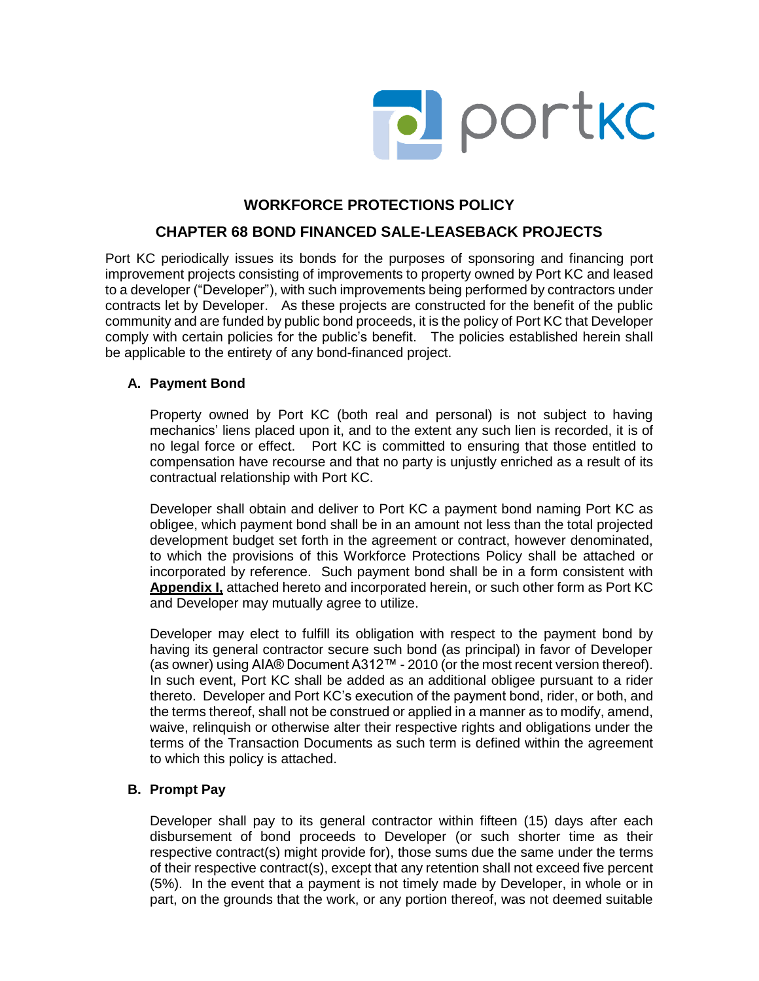

# **WORKFORCE PROTECTIONS POLICY**

## **CHAPTER 68 BOND FINANCED SALE-LEASEBACK PROJECTS**

Port KC periodically issues its bonds for the purposes of sponsoring and financing port improvement projects consisting of improvements to property owned by Port KC and leased to a developer ("Developer"), with such improvements being performed by contractors under contracts let by Developer. As these projects are constructed for the benefit of the public community and are funded by public bond proceeds, it is the policy of Port KC that Developer comply with certain policies for the public's benefit. The policies established herein shall be applicable to the entirety of any bond-financed project.

## **A. Payment Bond**

Property owned by Port KC (both real and personal) is not subject to having mechanics' liens placed upon it, and to the extent any such lien is recorded, it is of no legal force or effect. Port KC is committed to ensuring that those entitled to compensation have recourse and that no party is unjustly enriched as a result of its contractual relationship with Port KC.

Developer shall obtain and deliver to Port KC a payment bond naming Port KC as obligee, which payment bond shall be in an amount not less than the total projected development budget set forth in the agreement or contract, however denominated, to which the provisions of this Workforce Protections Policy shall be attached or incorporated by reference. Such payment bond shall be in a form consistent with **Appendix I,** attached hereto and incorporated herein, or such other form as Port KC and Developer may mutually agree to utilize.

Developer may elect to fulfill its obligation with respect to the payment bond by having its general contractor secure such bond (as principal) in favor of Developer (as owner) using AIA® Document A312™ - 2010 (or the most recent version thereof). In such event, Port KC shall be added as an additional obligee pursuant to a rider thereto. Developer and Port KC's execution of the payment bond, rider, or both, and the terms thereof, shall not be construed or applied in a manner as to modify, amend, waive, relinquish or otherwise alter their respective rights and obligations under the terms of the Transaction Documents as such term is defined within the agreement to which this policy is attached.

## **B. Prompt Pay**

Developer shall pay to its general contractor within fifteen (15) days after each disbursement of bond proceeds to Developer (or such shorter time as their respective contract(s) might provide for), those sums due the same under the terms of their respective contract(s), except that any retention shall not exceed five percent (5%). In the event that a payment is not timely made by Developer, in whole or in part, on the grounds that the work, or any portion thereof, was not deemed suitable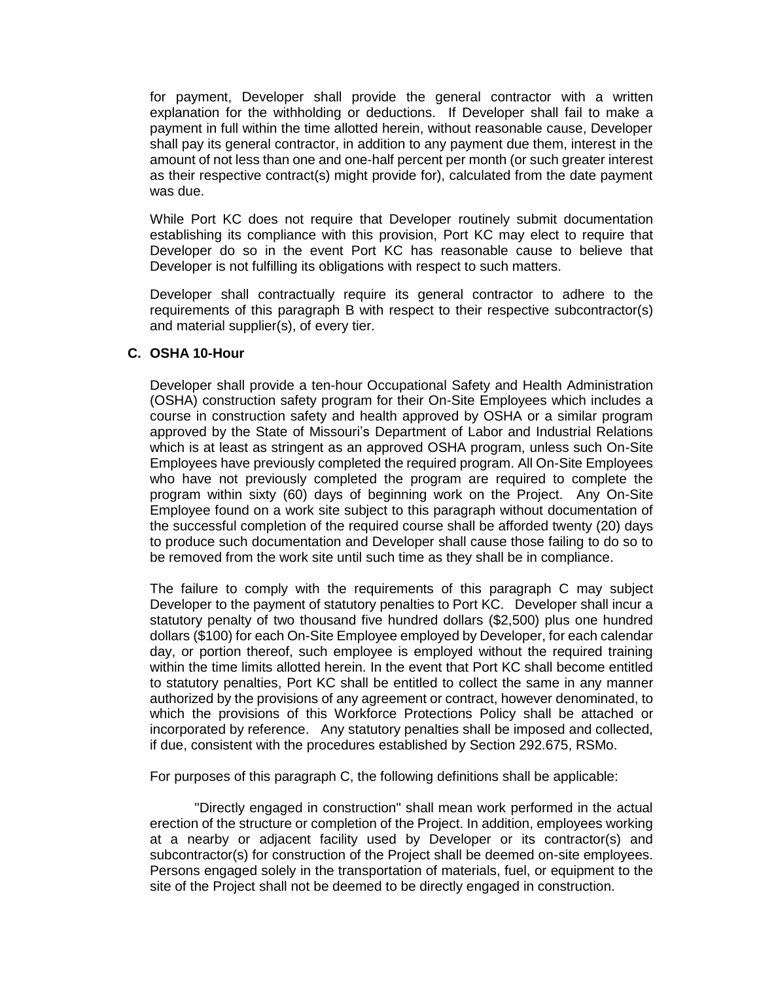for payment, Developer shall provide the general contractor with a written explanation for the withholding or deductions. If Developer shall fail to make a payment in full within the time allotted herein, without reasonable cause, Developer shall pay its general contractor, in addition to any payment due them, interest in the amount of not less than one and one-half percent per month (or such greater interest as their respective contract(s) might provide for), calculated from the date payment was due.

While Port KC does not require that Developer routinely submit documentation establishing its compliance with this provision, Port KC may elect to require that Developer do so in the event Port KC has reasonable cause to believe that Developer is not fulfilling its obligations with respect to such matters.

Developer shall contractually require its general contractor to adhere to the requirements of this paragraph B with respect to their respective subcontractor(s) and material supplier(s), of every tier.

## **C. OSHA 10-Hour**

Developer shall provide a ten-hour Occupational Safety and Health Administration (OSHA) construction safety program for their On-Site Employees which includes a course in construction safety and health approved by OSHA or a similar program approved by the State of Missouri's Department of Labor and Industrial Relations which is at least as stringent as an approved OSHA program, unless such On-Site Employees have previously completed the required program. All On-Site Employees who have not previously completed the program are required to complete the program within sixty (60) days of beginning work on the Project. Any On-Site Employee found on a work site subject to this paragraph without documentation of the successful completion of the required course shall be afforded twenty (20) days to produce such documentation and Developer shall cause those failing to do so to be removed from the work site until such time as they shall be in compliance.

The failure to comply with the requirements of this paragraph C may subject Developer to the payment of statutory penalties to Port KC. Developer shall incur a statutory penalty of two thousand five hundred dollars (\$2,500) plus one hundred dollars (\$100) for each On-Site Employee employed by Developer, for each calendar day, or portion thereof, such employee is employed without the required training within the time limits allotted herein. In the event that Port KC shall become entitled to statutory penalties, Port KC shall be entitled to collect the same in any manner authorized by the provisions of any agreement or contract, however denominated, to which the provisions of this Workforce Protections Policy shall be attached or incorporated by reference. Any statutory penalties shall be imposed and collected, if due, consistent with the procedures established by Section 292.675, RSMo.

For purposes of this paragraph C, the following definitions shall be applicable:

"Directly engaged in construction" shall mean work performed in the actual erection of the structure or completion of the Project. In addition, employees working at a nearby or adjacent facility used by Developer or its contractor(s) and subcontractor(s) for construction of the Project shall be deemed on-site employees. Persons engaged solely in the transportation of materials, fuel, or equipment to the site of the Project shall not be deemed to be directly engaged in construction.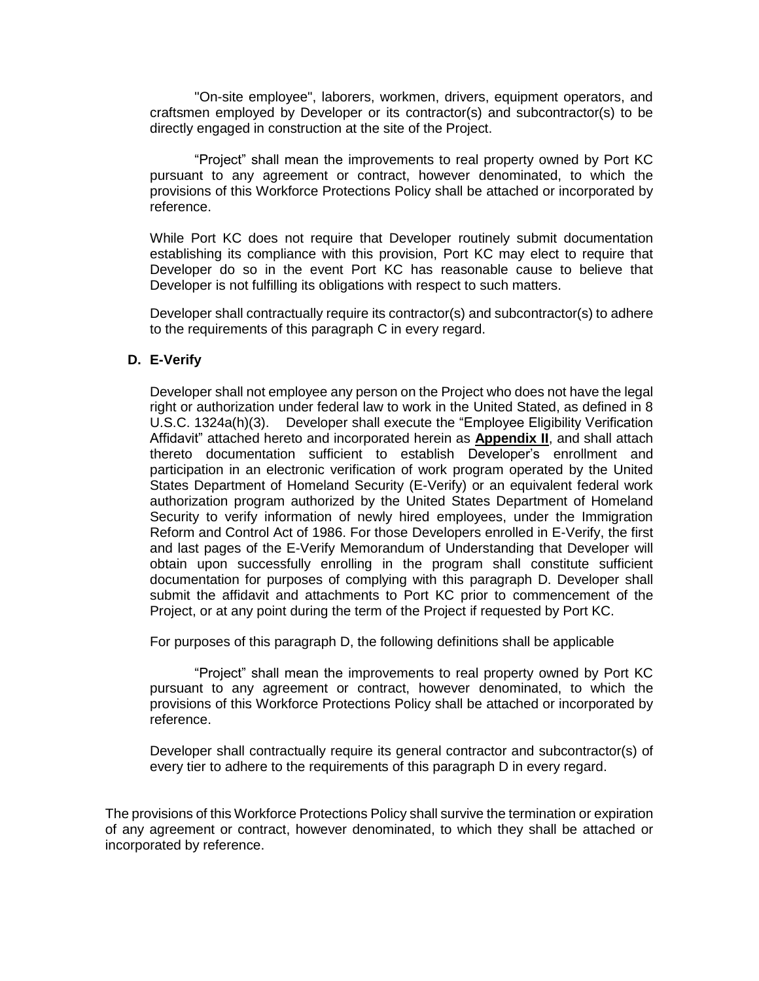"On-site employee", laborers, workmen, drivers, equipment operators, and craftsmen employed by Developer or its contractor(s) and subcontractor(s) to be directly engaged in construction at the site of the Project.

"Project" shall mean the improvements to real property owned by Port KC pursuant to any agreement or contract, however denominated, to which the provisions of this Workforce Protections Policy shall be attached or incorporated by reference.

While Port KC does not require that Developer routinely submit documentation establishing its compliance with this provision, Port KC may elect to require that Developer do so in the event Port KC has reasonable cause to believe that Developer is not fulfilling its obligations with respect to such matters.

Developer shall contractually require its contractor(s) and subcontractor(s) to adhere to the requirements of this paragraph C in every regard.

## **D. E-Verify**

Developer shall not employee any person on the Project who does not have the legal right or authorization under federal law to work in the United Stated, as defined in 8 U.S.C. 1324a(h)(3). Developer shall execute the "Employee Eligibility Verification Affidavit" attached hereto and incorporated herein as **Appendix II**, and shall attach thereto documentation sufficient to establish Developer's enrollment and participation in an electronic verification of work program operated by the United States Department of Homeland Security (E-Verify) or an equivalent federal work authorization program authorized by the United States Department of Homeland Security to verify information of newly hired employees, under the Immigration Reform and Control Act of 1986. For those Developers enrolled in E-Verify, the first and last pages of the E-Verify Memorandum of Understanding that Developer will obtain upon successfully enrolling in the program shall constitute sufficient documentation for purposes of complying with this paragraph D. Developer shall submit the affidavit and attachments to Port KC prior to commencement of the Project, or at any point during the term of the Project if requested by Port KC.

For purposes of this paragraph D, the following definitions shall be applicable

"Project" shall mean the improvements to real property owned by Port KC pursuant to any agreement or contract, however denominated, to which the provisions of this Workforce Protections Policy shall be attached or incorporated by reference.

Developer shall contractually require its general contractor and subcontractor(s) of every tier to adhere to the requirements of this paragraph D in every regard.

The provisions of this Workforce Protections Policy shall survive the termination or expiration of any agreement or contract, however denominated, to which they shall be attached or incorporated by reference.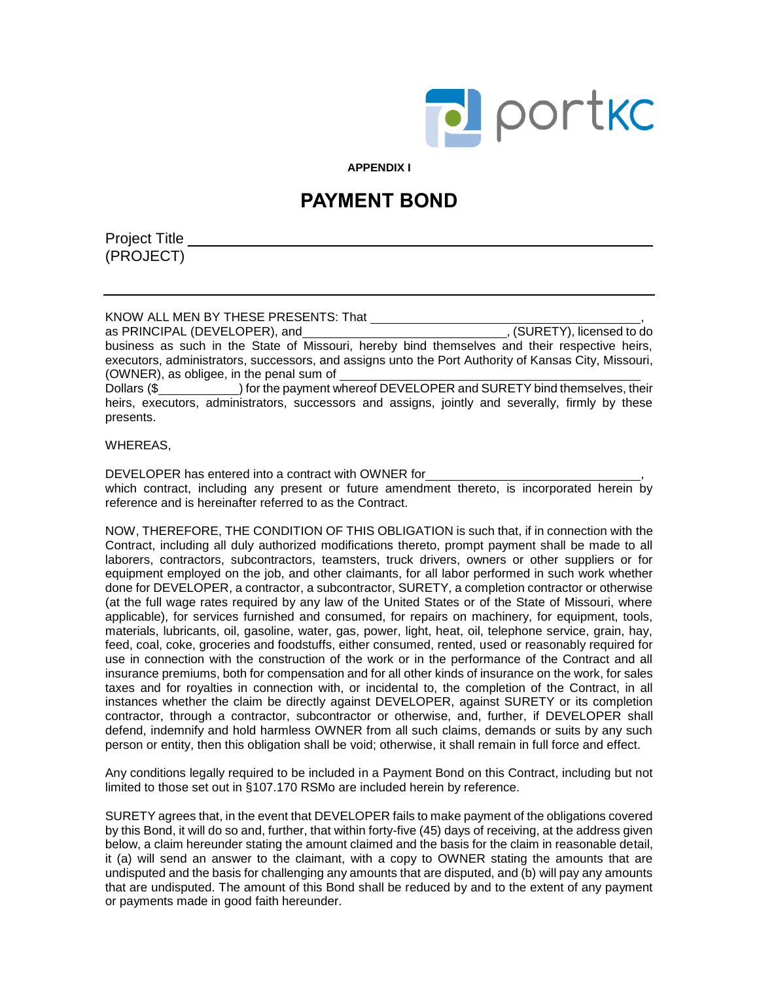

**APPENDIX I**

# **PAYMENT BOND**

Project Title (PROJECT)

KNOW ALL MEN BY THESE PRESENTS: That , as PRINCIPAL (DEVELOPER), and business as such in the State of Missouri, hereby bind themselves and their respective heirs, executors, administrators, successors, and assigns unto the Port Authority of Kansas City, Missouri, (OWNER), as obligee, in the penal sum of Dollars (\$
) for the payment whereof DEVELOPER and SURETY bind themselves, their heirs, executors, administrators, successors and assigns, jointly and severally, firmly by these presents.

WHEREAS,

DEVELOPER has entered into a contract with OWNER for , which contract, including any present or future amendment thereto, is incorporated herein by reference and is hereinafter referred to as the Contract.

NOW, THEREFORE, THE CONDITION OF THIS OBLIGATION is such that, if in connection with the Contract, including all duly authorized modifications thereto, prompt payment shall be made to all laborers, contractors, subcontractors, teamsters, truck drivers, owners or other suppliers or for equipment employed on the job, and other claimants, for all labor performed in such work whether done for DEVELOPER, a contractor, a subcontractor, SURETY, a completion contractor or otherwise (at the full wage rates required by any law of the United States or of the State of Missouri, where applicable), for services furnished and consumed, for repairs on machinery, for equipment, tools, materials, lubricants, oil, gasoline, water, gas, power, light, heat, oil, telephone service, grain, hay, feed, coal, coke, groceries and foodstuffs, either consumed, rented, used or reasonably required for use in connection with the construction of the work or in the performance of the Contract and all insurance premiums, both for compensation and for all other kinds of insurance on the work, for sales taxes and for royalties in connection with, or incidental to, the completion of the Contract, in all instances whether the claim be directly against DEVELOPER, against SURETY or its completion contractor, through a contractor, subcontractor or otherwise, and, further, if DEVELOPER shall defend, indemnify and hold harmless OWNER from all such claims, demands or suits by any such person or entity, then this obligation shall be void; otherwise, it shall remain in full force and effect.

Any conditions legally required to be included in a Payment Bond on this Contract, including but not limited to those set out in §107.170 RSMo are included herein by reference.

SURETY agrees that, in the event that DEVELOPER fails to make payment of the obligations covered by this Bond, it will do so and, further, that within forty-five (45) days of receiving, at the address given below, a claim hereunder stating the amount claimed and the basis for the claim in reasonable detail, it (a) will send an answer to the claimant, with a copy to OWNER stating the amounts that are undisputed and the basis for challenging any amounts that are disputed, and (b) will pay any amounts that are undisputed. The amount of this Bond shall be reduced by and to the extent of any payment or payments made in good faith hereunder.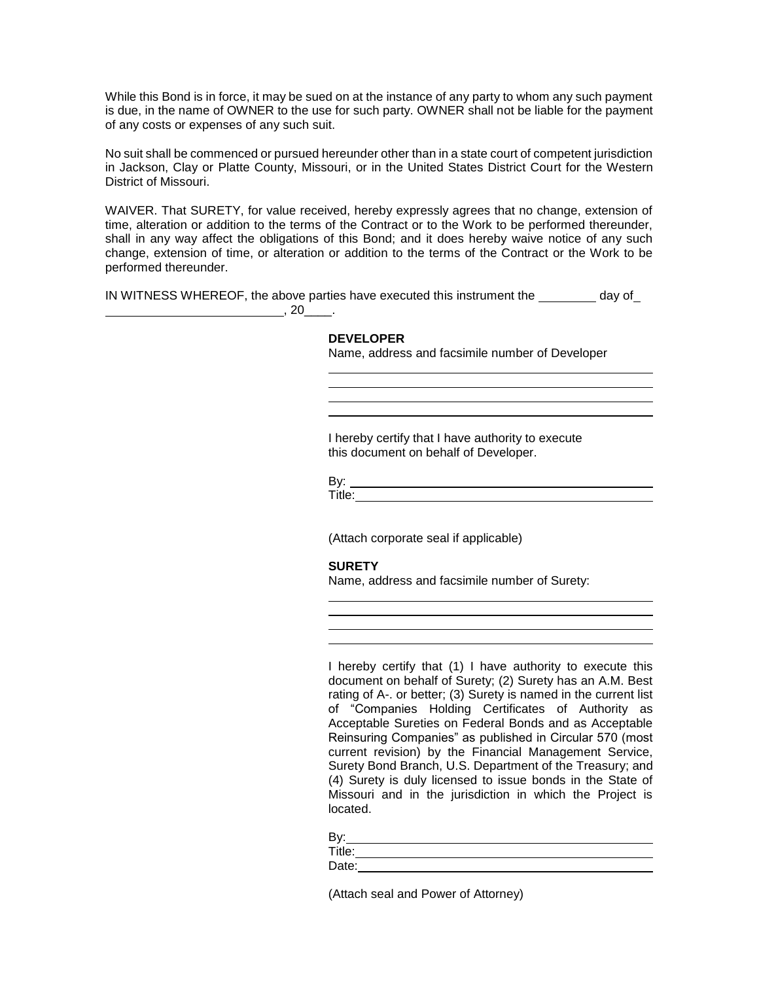While this Bond is in force, it may be sued on at the instance of any party to whom any such payment is due, in the name of OWNER to the use for such party. OWNER shall not be liable for the payment of any costs or expenses of any such suit.

No suit shall be commenced or pursued hereunder other than in a state court of competent jurisdiction in Jackson, Clay or Platte County, Missouri, or in the United States District Court for the Western District of Missouri.

WAIVER. That SURETY, for value received, hereby expressly agrees that no change, extension of time, alteration or addition to the terms of the Contract or to the Work to be performed thereunder, shall in any way affect the obligations of this Bond; and it does hereby waive notice of any such change, extension of time, or alteration or addition to the terms of the Contract or the Work to be performed thereunder.

IN WITNESS WHEREOF, the above parties have executed this instrument the  $\_\_\_\_\_$  day of ,  $20$ <sub>\_\_\_\_</sub>.

#### **DEVELOPER**

Name, address and facsimile number of Developer

I hereby certify that I have authority to execute this document on behalf of Developer.

By:

Title:

(Attach corporate seal if applicable)

### **SURETY**

Name, address and facsimile number of Surety:

I hereby certify that (1) I have authority to execute this document on behalf of Surety; (2) Surety has an A.M. Best rating of A-. or better; (3) Surety is named in the current list of "Companies Holding Certificates of Authority as Acceptable Sureties on Federal Bonds and as Acceptable Reinsuring Companies" as published in Circular 570 (most current revision) by the Financial Management Service, Surety Bond Branch, U.S. Department of the Treasury; and (4) Surety is duly licensed to issue bonds in the State of Missouri and in the jurisdiction in which the Project is located.

| R۱ŕ    |  |
|--------|--|
| Title: |  |
| Date:  |  |

(Attach seal and Power of Attorney)